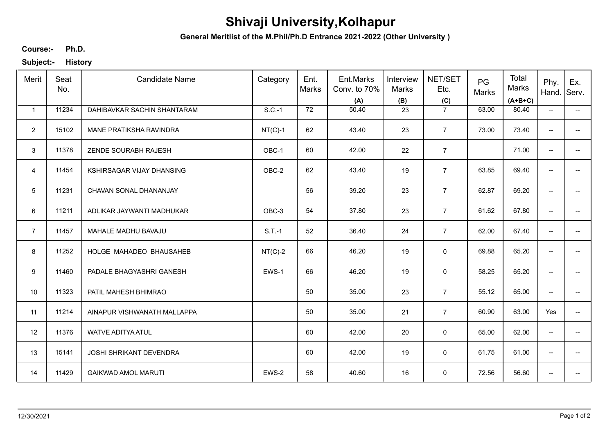## **Shivaji University,Kolhapur**

**General Meritlist of the M.Phil/Ph.D Entrance 2021-2022 (Other University )**

**Ph.D. Course:-**

**Subject:- History**

| Merit           | Seat<br>No. | <b>Candidate Name</b>       | Category  | Ent.<br><b>Marks</b> | Ent.Marks<br>Conv. to 70%<br>(A) | Interview<br>Marks<br>(B) | NET/SET<br>Etc.<br>(C) | PG<br>Marks | Total<br>Marks<br>$(A+B+C)$ | Phy.<br>Hand.                       | Ex.<br>Serv.             |
|-----------------|-------------|-----------------------------|-----------|----------------------|----------------------------------|---------------------------|------------------------|-------------|-----------------------------|-------------------------------------|--------------------------|
| $\mathbf{1}$    | 11234       | DAHIBAVKAR SACHIN SHANTARAM | $S.C.-1$  | 72                   | 50.40                            | 23                        | $\overline{7}$         | 63.00       | 80.40                       | $\overline{\phantom{a}}$            | $\overline{\phantom{a}}$ |
| $\overline{2}$  | 15102       | MANE PRATIKSHA RAVINDRA     | $NT(C)-1$ | 62                   | 43.40                            | 23                        | $\overline{7}$         | 73.00       | 73.40                       | $\overline{\phantom{a}}$            | -−                       |
| 3               | 11378       | ZENDE SOURABH RAJESH        | OBC-1     | 60                   | 42.00                            | 22                        | $\overline{7}$         |             | 71.00                       | $\overline{\phantom{a}}$            | $- -$                    |
| $\overline{4}$  | 11454       | KSHIRSAGAR VIJAY DHANSING   | OBC-2     | 62                   | 43.40                            | 19                        | $\overline{7}$         | 63.85       | 69.40                       | $\overline{\phantom{a}}$            | $\overline{\phantom{a}}$ |
| $5\phantom{.0}$ | 11231       | CHAVAN SONAL DHANANJAY      |           | 56                   | 39.20                            | 23                        | $\overline{7}$         | 62.87       | 69.20                       | $\overline{\phantom{a}}$            | $\overline{\phantom{a}}$ |
| 6               | 11211       | ADLIKAR JAYWANTI MADHUKAR   | OBC-3     | 54                   | 37.80                            | 23                        | $\overline{7}$         | 61.62       | 67.80                       | $\overline{\phantom{a}}$            | $\overline{\phantom{a}}$ |
| $\overline{7}$  | 11457       | MAHALE MADHU BAVAJU         | $S.T.-1$  | 52                   | 36.40                            | 24                        | $\overline{7}$         | 62.00       | 67.40                       | $\overline{\phantom{a}}$            | $-$                      |
| 8               | 11252       | HOLGE MAHADEO BHAUSAHEB     | $NT(C)-2$ | 66                   | 46.20                            | 19                        | $\pmb{0}$              | 69.88       | 65.20                       | $\overline{\phantom{a}}$            | $\overline{\phantom{a}}$ |
| 9               | 11460       | PADALE BHAGYASHRI GANESH    | EWS-1     | 66                   | 46.20                            | 19                        | $\mathbf 0$            | 58.25       | 65.20                       | $\overline{\phantom{a}}$            | $-$                      |
| 10              | 11323       | PATIL MAHESH BHIMRAO        |           | 50                   | 35.00                            | 23                        | $\overline{7}$         | 55.12       | 65.00                       | $\overline{\phantom{a}}$            | $-$                      |
| 11              | 11214       | AINAPUR VISHWANATH MALLAPPA |           | 50                   | 35.00                            | 21                        | $\overline{7}$         | 60.90       | 63.00                       | Yes                                 | $\overline{\phantom{a}}$ |
| 12              | 11376       | <b>WATVE ADITYA ATUL</b>    |           | 60                   | 42.00                            | 20                        | 0                      | 65.00       | 62.00                       | $\overline{\phantom{a}}$            | $\overline{\phantom{a}}$ |
| 13              | 15141       | JOSHI SHRIKANT DEVENDRA     |           | 60                   | 42.00                            | 19                        | 0                      | 61.75       | 61.00                       | $\overline{\phantom{a}}$            | $\overline{\phantom{a}}$ |
| 14              | 11429       | <b>GAIKWAD AMOL MARUTI</b>  | EWS-2     | 58                   | 40.60                            | 16                        | $\pmb{0}$              | 72.56       | 56.60                       | $\hspace{0.05cm}$ $\hspace{0.05cm}$ | --                       |